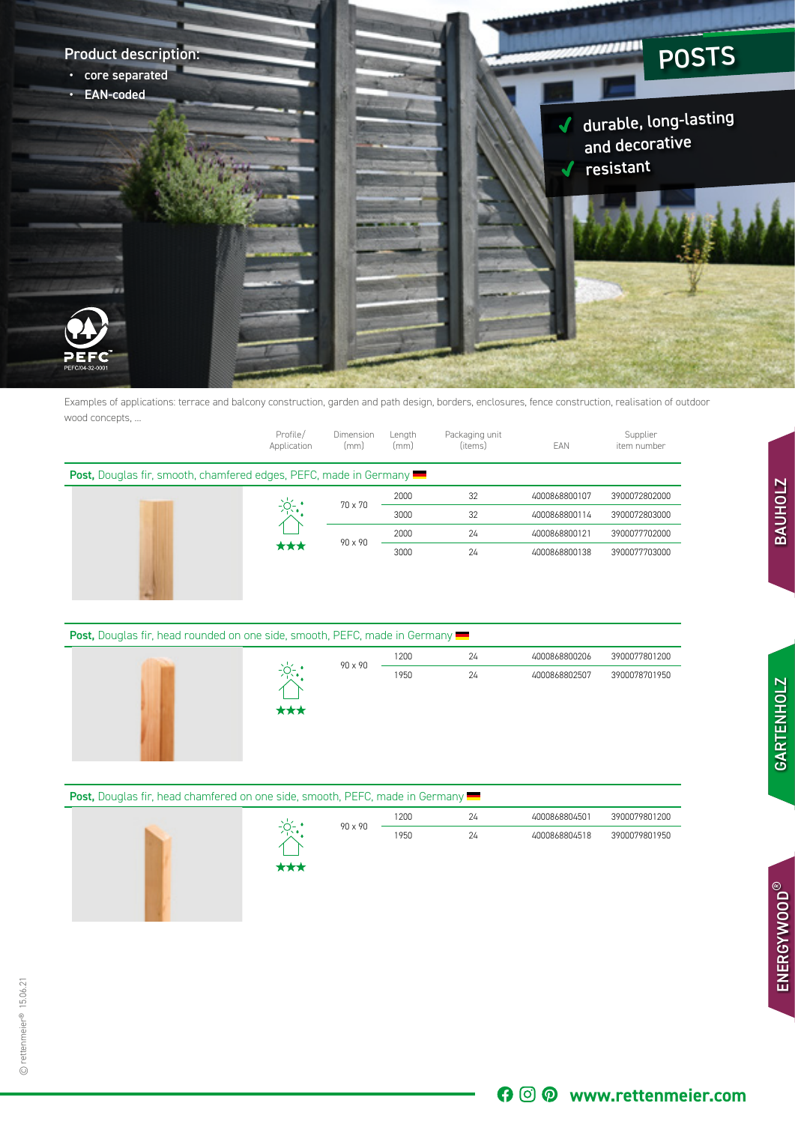

Examples of applications: terrace and balcony construction, garden and path design, borders, enclosures, fence construction, realisation of outdoor wood concepts, ...

|                                                                                                                                                                                                                                                                                                                         | Profile/<br>Application | Dimension<br>(mm) | Length<br>(mm) | Packaging unit<br>(items) | EAN | Supplier<br>item number |  |
|-------------------------------------------------------------------------------------------------------------------------------------------------------------------------------------------------------------------------------------------------------------------------------------------------------------------------|-------------------------|-------------------|----------------|---------------------------|-----|-------------------------|--|
| <b>Post,</b> Douglas fir, smooth, chamfered edges, PEFC, made in Germany<br>32<br>2000<br>4000868800107<br>3900072802000<br>$-\frac{1}{2}$<br>70 x 70<br>32<br>3000<br>4000868800114<br>3900072803000<br>24<br>2000<br>4000868800121<br>3900077702000<br>90 x 90<br>***<br>3000<br>24<br>4000868800138<br>3900077703000 |                         |                   |                |                           |     |                         |  |
|                                                                                                                                                                                                                                                                                                                         |                         |                   |                |                           |     |                         |  |
|                                                                                                                                                                                                                                                                                                                         |                         |                   |                |                           |     |                         |  |
|                                                                                                                                                                                                                                                                                                                         |                         |                   |                |                           |     |                         |  |
|                                                                                                                                                                                                                                                                                                                         |                         |                   |                |                           |     |                         |  |
|                                                                                                                                                                                                                                                                                                                         |                         |                   |                |                           |     |                         |  |

| <b>Post, Douglas fir, head rounded on one side, smooth, PEFC, made in Germany</b> |     |         |      |    |               |               |  |  |
|-----------------------------------------------------------------------------------|-----|---------|------|----|---------------|---------------|--|--|
|                                                                                   |     | 90 x 90 | 1200 | 24 | 4000868800206 | 3900077801200 |  |  |
|                                                                                   | *** |         | 1950 | 24 | 4000868802507 | 3900078701950 |  |  |

| <b>Post, Douglas fir, head chamfered on one side, smooth, PEFC, made in Germany ••</b> |     |         |      |    |               |               |  |
|----------------------------------------------------------------------------------------|-----|---------|------|----|---------------|---------------|--|
|                                                                                        |     |         | 1200 | 24 | 4000868804501 | 3900079801200 |  |
|                                                                                        | *** | 90 x 90 | 1950 | 24 | 4000868804518 | 3900079801950 |  |

ENERGY WOOD® OUTDOOR WOOD TIMBER

GARTENHOLZ BAUHOLZ

**GARTENHOLZ** 

**BAUHOLZ** 

ENERGYWOOD **ENERGYWOOD®**